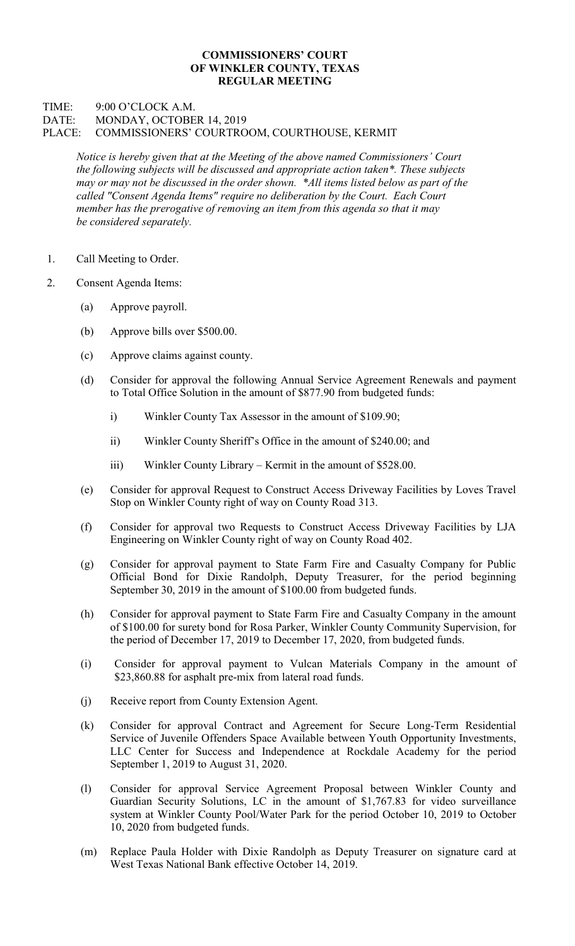## COMMISSIONERS' COURT OF WINKLER COUNTY, TEXAS REGULAR MEETING

## TIME: 9:00 O'CLOCK A.M. DATE: MONDAY, OCTOBER 14, 2019 PLACE: COMMISSIONERS' COURTROOM, COURTHOUSE, KERMIT

Notice is hereby given that at the Meeting of the above named Commissioners' Court the following subjects will be discussed and appropriate action taken\*. These subjects may or may not be discussed in the order shown. \*All items listed below as part of the called "Consent Agenda Items" require no deliberation by the Court. Each Court member has the prerogative of removing an item from this agenda so that it may be considered separately.

- 1. Call Meeting to Order.
- 2. Consent Agenda Items:
	- (a) Approve payroll.
	- (b) Approve bills over \$500.00.
	- (c) Approve claims against county.
	- (d) Consider for approval the following Annual Service Agreement Renewals and payment to Total Office Solution in the amount of \$877.90 from budgeted funds:
		- i) Winkler County Tax Assessor in the amount of \$109.90;
		- ii) Winkler County Sheriff's Office in the amount of \$240.00; and
		- iii) Winkler County Library Kermit in the amount of \$528.00.
	- (e) Consider for approval Request to Construct Access Driveway Facilities by Loves Travel Stop on Winkler County right of way on County Road 313.
	- (f) Consider for approval two Requests to Construct Access Driveway Facilities by LJA Engineering on Winkler County right of way on County Road 402.
	- (g) Consider for approval payment to State Farm Fire and Casualty Company for Public Official Bond for Dixie Randolph, Deputy Treasurer, for the period beginning September 30, 2019 in the amount of \$100.00 from budgeted funds.
	- (h) Consider for approval payment to State Farm Fire and Casualty Company in the amount of \$100.00 for surety bond for Rosa Parker, Winkler County Community Supervision, for the period of December 17, 2019 to December 17, 2020, from budgeted funds.
	- (i) Consider for approval payment to Vulcan Materials Company in the amount of \$23,860.88 for asphalt pre-mix from lateral road funds.
	- (j) Receive report from County Extension Agent.
	- (k) Consider for approval Contract and Agreement for Secure Long-Term Residential Service of Juvenile Offenders Space Available between Youth Opportunity Investments, LLC Center for Success and Independence at Rockdale Academy for the period September 1, 2019 to August 31, 2020.
	- (l) Consider for approval Service Agreement Proposal between Winkler County and Guardian Security Solutions, LC in the amount of \$1,767.83 for video surveillance system at Winkler County Pool/Water Park for the period October 10, 2019 to October 10, 2020 from budgeted funds.
	- (m) Replace Paula Holder with Dixie Randolph as Deputy Treasurer on signature card at West Texas National Bank effective October 14, 2019.